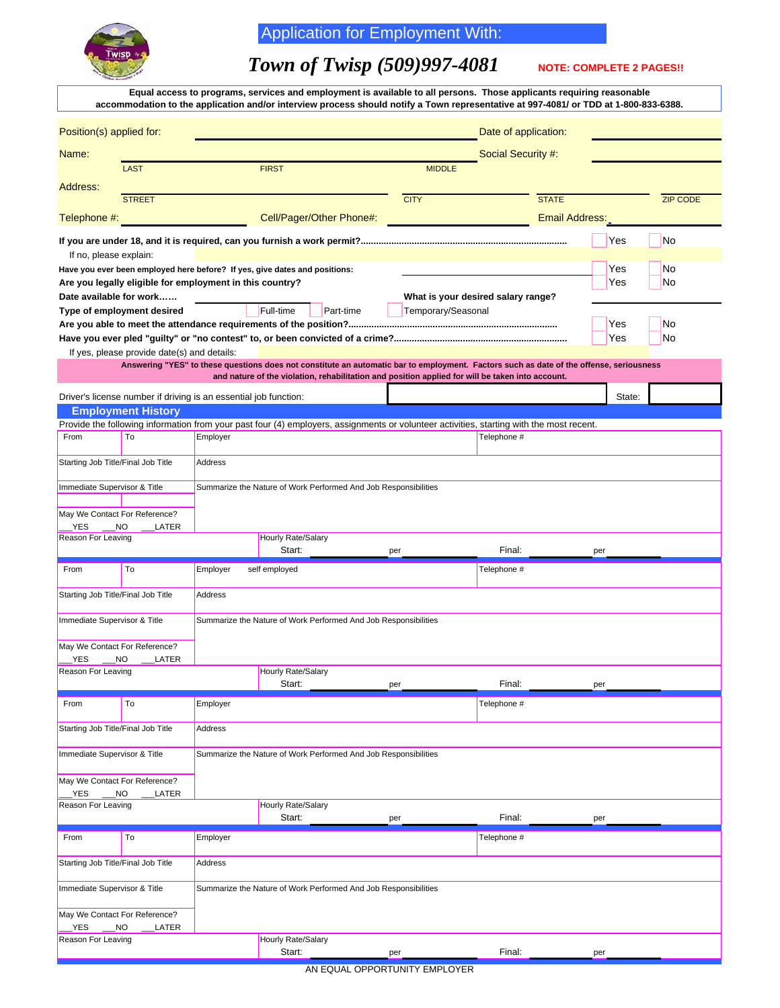

## Application for Employment With:

## *Town of Twisp (509)997-4081* NOTE: COMPLETE 2 PAGES!!

| Equal access to programs, services and employment is available to all persons. Those applicants requiring reasonable<br>accommodation to the application and/or interview process should notify a Town representative at 997-4081/ or TDD at 1-800-833-6388. |                                                                                                 |                                                                 |                                                                                                                                          |               |                    |        |                 |  |  |  |
|--------------------------------------------------------------------------------------------------------------------------------------------------------------------------------------------------------------------------------------------------------------|-------------------------------------------------------------------------------------------------|-----------------------------------------------------------------|------------------------------------------------------------------------------------------------------------------------------------------|---------------|--------------------|--------|-----------------|--|--|--|
| Position(s) applied for:                                                                                                                                                                                                                                     |                                                                                                 |                                                                 | Date of application:                                                                                                                     |               |                    |        |                 |  |  |  |
| Name:                                                                                                                                                                                                                                                        |                                                                                                 |                                                                 |                                                                                                                                          |               | Social Security #: |        |                 |  |  |  |
|                                                                                                                                                                                                                                                              | <b>LAST</b>                                                                                     |                                                                 | <b>FIRST</b>                                                                                                                             | <b>MIDDLE</b> |                    |        |                 |  |  |  |
| Address:                                                                                                                                                                                                                                                     |                                                                                                 |                                                                 |                                                                                                                                          |               |                    |        |                 |  |  |  |
|                                                                                                                                                                                                                                                              | <b>STREET</b>                                                                                   |                                                                 |                                                                                                                                          | <b>CITY</b>   | <b>STATE</b>       |        | <b>ZIP CODE</b> |  |  |  |
| Telephone #:                                                                                                                                                                                                                                                 |                                                                                                 |                                                                 | Cell/Pager/Other Phone#:                                                                                                                 |               | Email Address:     |        |                 |  |  |  |
|                                                                                                                                                                                                                                                              |                                                                                                 |                                                                 |                                                                                                                                          |               |                    | Yes    | <b>No</b>       |  |  |  |
| If no, please explain:                                                                                                                                                                                                                                       |                                                                                                 |                                                                 |                                                                                                                                          |               |                    |        |                 |  |  |  |
| Have you ever been employed here before? If yes, give dates and positions:                                                                                                                                                                                   |                                                                                                 |                                                                 |                                                                                                                                          |               |                    | Yes    | No              |  |  |  |
| Are you legally eligible for employment in this country?                                                                                                                                                                                                     |                                                                                                 |                                                                 |                                                                                                                                          |               |                    | Yes    | No              |  |  |  |
| Date available for work<br>Type of employment desired                                                                                                                                                                                                        |                                                                                                 |                                                                 | What is your desired salary range?<br>Full-time<br>Part-time<br>Temporary/Seasonal                                                       |               |                    |        |                 |  |  |  |
|                                                                                                                                                                                                                                                              |                                                                                                 |                                                                 |                                                                                                                                          |               |                    | Yes    | No              |  |  |  |
|                                                                                                                                                                                                                                                              |                                                                                                 |                                                                 |                                                                                                                                          |               |                    | Yes    | No              |  |  |  |
|                                                                                                                                                                                                                                                              | If yes, please provide date(s) and details:                                                     |                                                                 |                                                                                                                                          |               |                    |        |                 |  |  |  |
|                                                                                                                                                                                                                                                              |                                                                                                 |                                                                 | Answering "YES" to these questions does not constitute an automatic bar to employment. Factors such as date of the offense, seriousness  |               |                    |        |                 |  |  |  |
|                                                                                                                                                                                                                                                              |                                                                                                 |                                                                 | and nature of the violation, rehabilitation and position applied for will be taken into account.                                         |               |                    |        |                 |  |  |  |
|                                                                                                                                                                                                                                                              | Driver's license number if driving is an essential job function:                                |                                                                 |                                                                                                                                          |               |                    | State: |                 |  |  |  |
|                                                                                                                                                                                                                                                              | <b>Employment History</b>                                                                       |                                                                 |                                                                                                                                          |               |                    |        |                 |  |  |  |
|                                                                                                                                                                                                                                                              |                                                                                                 |                                                                 | Provide the following information from your past four (4) employers, assignments or volunteer activities, starting with the most recent. |               |                    |        |                 |  |  |  |
| From                                                                                                                                                                                                                                                         | To                                                                                              | Employer                                                        |                                                                                                                                          |               | Telephone #        |        |                 |  |  |  |
|                                                                                                                                                                                                                                                              | Starting Job Title/Final Job Title<br>Address                                                   |                                                                 |                                                                                                                                          |               |                    |        |                 |  |  |  |
|                                                                                                                                                                                                                                                              | Immediate Supervisor & Title<br>Summarize the Nature of Work Performed And Job Responsibilities |                                                                 |                                                                                                                                          |               |                    |        |                 |  |  |  |
| May We Contact For Reference?                                                                                                                                                                                                                                |                                                                                                 |                                                                 |                                                                                                                                          |               |                    |        |                 |  |  |  |
| YES.<br>$\sqrt{N}$                                                                                                                                                                                                                                           | LATER                                                                                           |                                                                 |                                                                                                                                          |               |                    |        |                 |  |  |  |
| Reason For Leaving                                                                                                                                                                                                                                           |                                                                                                 |                                                                 | Hourly Rate/Salary<br>Start:                                                                                                             | per           | Final:             | per    |                 |  |  |  |
| From                                                                                                                                                                                                                                                         | To                                                                                              | Employer                                                        | self employed                                                                                                                            |               | Telephone #        |        |                 |  |  |  |
| Starting Job Title/Final Job Title<br>Address                                                                                                                                                                                                                |                                                                                                 |                                                                 |                                                                                                                                          |               |                    |        |                 |  |  |  |
| Immediate Supervisor & Title                                                                                                                                                                                                                                 |                                                                                                 |                                                                 | Summarize the Nature of Work Performed And Job Responsibilities                                                                          |               |                    |        |                 |  |  |  |
| May We Contact For Reference?                                                                                                                                                                                                                                |                                                                                                 |                                                                 |                                                                                                                                          |               |                    |        |                 |  |  |  |
| <b>YES</b><br>_NO<br>LATER                                                                                                                                                                                                                                   |                                                                                                 |                                                                 |                                                                                                                                          |               |                    |        |                 |  |  |  |
| Reason For Leaving                                                                                                                                                                                                                                           |                                                                                                 |                                                                 | Hourly Rate/Salary<br>Start:                                                                                                             | per           | Final:             | per    |                 |  |  |  |
| From                                                                                                                                                                                                                                                         | To                                                                                              | Employer                                                        |                                                                                                                                          |               | Telephone #        |        |                 |  |  |  |
| Starting Job Title/Final Job Title<br>Address                                                                                                                                                                                                                |                                                                                                 |                                                                 |                                                                                                                                          |               |                    |        |                 |  |  |  |
| Immediate Supervisor & Title                                                                                                                                                                                                                                 |                                                                                                 |                                                                 | Summarize the Nature of Work Performed And Job Responsibilities                                                                          |               |                    |        |                 |  |  |  |
| May We Contact For Reference?<br>YES <sub>.</sub><br>$\rule{1em}{0.15mm}$ NO                                                                                                                                                                                 | LATER                                                                                           |                                                                 |                                                                                                                                          |               |                    |        |                 |  |  |  |
| Reason For Leaving                                                                                                                                                                                                                                           |                                                                                                 |                                                                 | Hourly Rate/Salary<br>Start:                                                                                                             | per           | Final:             | per    |                 |  |  |  |
|                                                                                                                                                                                                                                                              |                                                                                                 |                                                                 |                                                                                                                                          |               |                    |        |                 |  |  |  |
| From                                                                                                                                                                                                                                                         | To                                                                                              | Employer                                                        |                                                                                                                                          |               | Telephone #        |        |                 |  |  |  |
| Starting Job Title/Final Job Title<br>Address                                                                                                                                                                                                                |                                                                                                 |                                                                 |                                                                                                                                          |               |                    |        |                 |  |  |  |
| Immediate Supervisor & Title                                                                                                                                                                                                                                 |                                                                                                 | Summarize the Nature of Work Performed And Job Responsibilities |                                                                                                                                          |               |                    |        |                 |  |  |  |
| May We Contact For Reference?<br>$\sqrt{ }$ NO<br>YES                                                                                                                                                                                                        | <b>LATER</b>                                                                                    |                                                                 |                                                                                                                                          |               |                    |        |                 |  |  |  |
| Reason For Leaving                                                                                                                                                                                                                                           |                                                                                                 |                                                                 | Hourly Rate/Salary<br>Start:                                                                                                             | per           | Final:             | per    |                 |  |  |  |

AN EQUAL OPPORTUNITY EMPLOYER